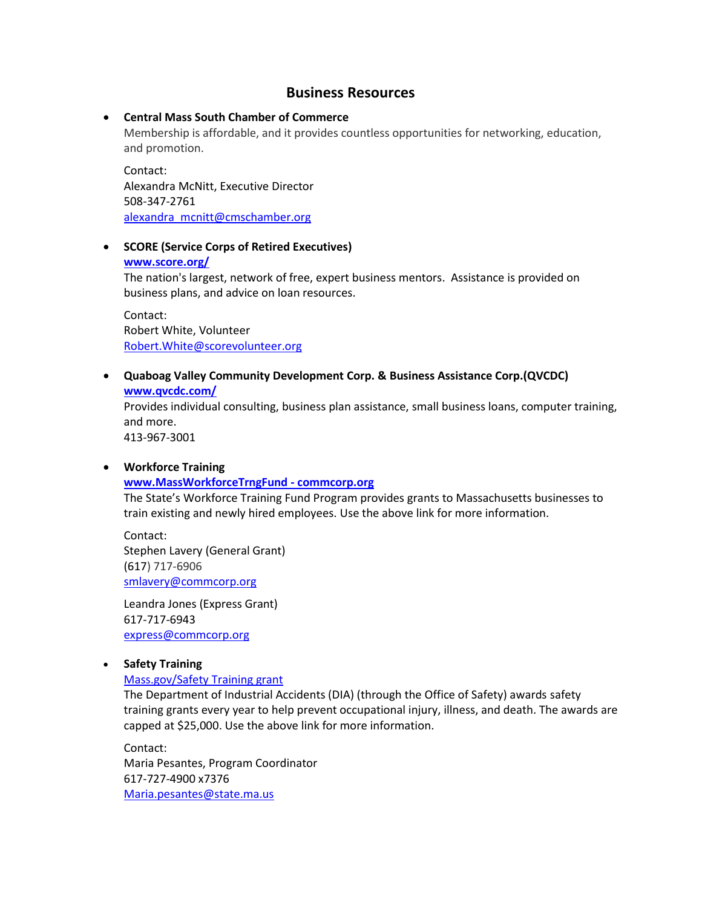# **Business Resources**

## • **Central Mass South Chamber of Commerce**

Membership is affordable, and it provides countless opportunities for networking, education, and promotion.

Contact: Alexandra McNitt, Executive Director 508-347-2761 [alexandra\\_mcnitt@cmschamber.org](mailto:alexandra_mcnitt@cmschamber.org)

## • **SCORE (Service Corps of Retired Executives)**

### **[www.score.org/](http://www.score.org/)**

The nation's largest, network of free, expert business mentors. Assistance is provided on business plans, and advice on loan resources.

Contact: Robert White, Volunteer [Robert.White@scorevolunteer.org](mailto:Robert.White@scorevolunteer.org)

## • **Quaboag Valley Community Development Corp. & Business Assistance Corp.(QVCDC) [www.qvcdc.com/](http://www.qvcdc.com/)**

Provides individual consulting, business plan assistance, small business loans, computer training, and more.

413-967-3001

### • **Workforce Training**

### **[www.MassWorkforceTrngFund -](http://www.commcorp.org/sites/home.cfm?ID=30) commcorp.org**

The State's Workforce Training Fund Program provides grants to Massachusetts businesses to train existing and newly hired employees. Use the above link for more information.

Contact: Stephen Lavery (General Grant) (617) 717-6906 [smlavery@commcorp.org](mailto:smlavery@commcorp.org?subject=Workforce%20Training%20Fund%20Inquiry)

Leandra Jones (Express Grant) 617-717-6943 [express@commcorp.org](mailto:express@commcorp.org)

## • **Safety Training**

### [Mass.gov/Safety Training grant](http://www.mass.gov/lwd/workers-compensation/safety/grant-program/safety-grant-program.html)

The Department of Industrial Accidents (DIA) (through the Office of Safety) awards safety training grants every year to help prevent occupational injury, illness, and death. The awards are capped at \$25,000. Use the above link for more information.

Contact: Maria Pesantes, Program Coordinator 617-727-4900 x7376 [Maria.pesantes@state.ma.us](mailto:Maria.pesantes@state.ma.us)